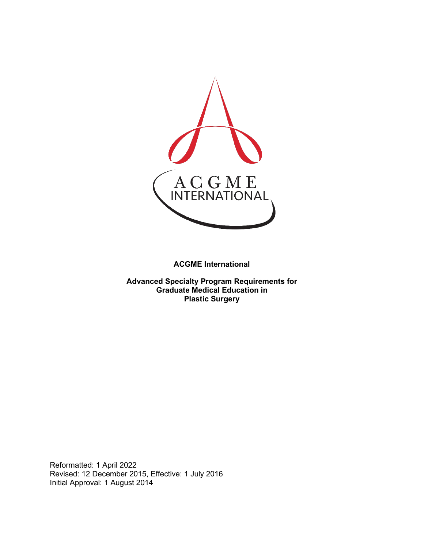

**ACGME International** 

**Advanced Specialty Program Requirements for Graduate Medical Education in Plastic Surgery**

Reformatted: 1 April 2022 Revised: 12 December 2015, Effective: 1 July 2016 Initial Approval: 1 August 2014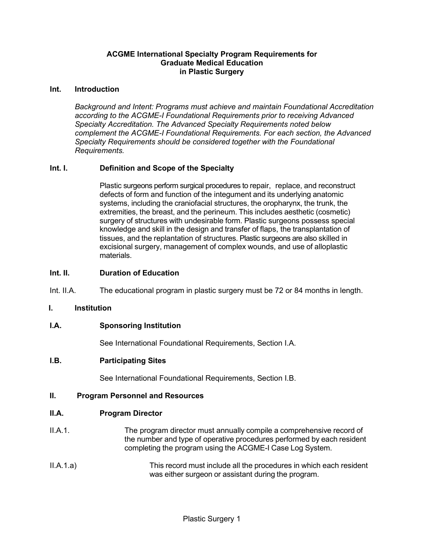## **ACGME International Specialty Program Requirements for Graduate Medical Education in Plastic Surgery**

#### **Int. Introduction**

*Background and Intent: Programs must achieve and maintain Foundational Accreditation according to the ACGME-I Foundational Requirements prior to receiving Advanced Specialty Accreditation. The Advanced Specialty Requirements noted below complement the ACGME-I Foundational Requirements. For each section, the Advanced Specialty Requirements should be considered together with the Foundational Requirements.*

## **Int. I. Definition and Scope of the Specialty**

Plastic surgeons perform surgical procedures to repair, replace, and reconstruct defects of form and function of the integument and its underlying anatomic systems, including the craniofacial structures, the oropharynx, the trunk, the extremities, the breast, and the perineum. This includes aesthetic (cosmetic) surgery of structures with undesirable form. Plastic surgeons possess special knowledge and skill in the design and transfer of flaps, the transplantation of tissues, and the replantation of structures. Plastic surgeons are also skilled in excisional surgery, management of complex wounds, and use of alloplastic materials.

#### **Int. II. Duration of Education**

Int. II.A. The educational program in plastic surgery must be 72 or 84 months in length.

#### **I. Institution**

#### **I.A. Sponsoring Institution**

See International Foundational Requirements, Section I.A.

#### **I.B. Participating Sites**

See International Foundational Requirements, Section I.B.

#### **II. Program Personnel and Resources**

#### **II.A. Program Director**

- II.A.1. The program director must annually compile a comprehensive record of the number and type of operative procedures performed by each resident completing the program using the ACGME-I Case Log System.
- II.A.1.a) This record must include all the procedures in which each resident was either surgeon or assistant during the program.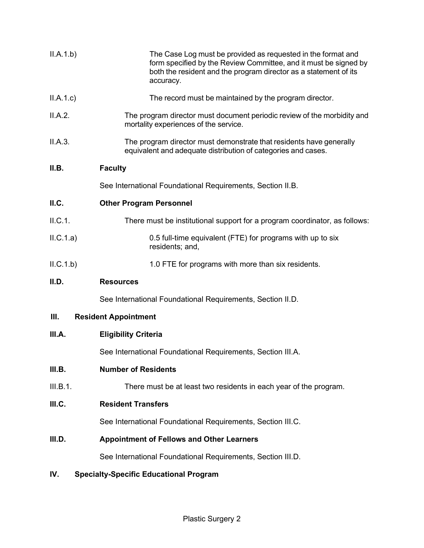| II.A.1.b)                                            | The Case Log must be provided as requested in the format and<br>form specified by the Review Committee, and it must be signed by<br>both the resident and the program director as a statement of its<br>accuracy. |  |
|------------------------------------------------------|-------------------------------------------------------------------------------------------------------------------------------------------------------------------------------------------------------------------|--|
| II.A.1.c                                             | The record must be maintained by the program director.                                                                                                                                                            |  |
| II.A.2.                                              | The program director must document periodic review of the morbidity and<br>mortality experiences of the service.                                                                                                  |  |
| II.A.3.                                              | The program director must demonstrate that residents have generally<br>equivalent and adequate distribution of categories and cases.                                                                              |  |
| II.B.                                                | <b>Faculty</b>                                                                                                                                                                                                    |  |
|                                                      | See International Foundational Requirements, Section II.B.                                                                                                                                                        |  |
| ILC.                                                 | <b>Other Program Personnel</b>                                                                                                                                                                                    |  |
| II.C.1.                                              | There must be institutional support for a program coordinator, as follows:                                                                                                                                        |  |
| ILC.1.a)                                             | 0.5 full-time equivalent (FTE) for programs with up to six<br>residents; and,                                                                                                                                     |  |
| ILC.1.b)                                             | 1.0 FTE for programs with more than six residents.                                                                                                                                                                |  |
| II.D.                                                | <b>Resources</b>                                                                                                                                                                                                  |  |
|                                                      | See International Foundational Requirements, Section II.D.                                                                                                                                                        |  |
| Ш.                                                   | <b>Resident Appointment</b>                                                                                                                                                                                       |  |
| III.A.                                               | <b>Eligibility Criteria</b>                                                                                                                                                                                       |  |
|                                                      | See International Foundational Requirements, Section III.A.                                                                                                                                                       |  |
| III.B.                                               | <b>Number of Residents</b>                                                                                                                                                                                        |  |
| III.B.1.                                             | There must be at least two residents in each year of the program.                                                                                                                                                 |  |
| III.C.                                               | <b>Resident Transfers</b>                                                                                                                                                                                         |  |
|                                                      | See International Foundational Requirements, Section III.C.                                                                                                                                                       |  |
| III.D.                                               | <b>Appointment of Fellows and Other Learners</b>                                                                                                                                                                  |  |
|                                                      | See International Foundational Requirements, Section III.D.                                                                                                                                                       |  |
| IV.<br><b>Specialty-Specific Educational Program</b> |                                                                                                                                                                                                                   |  |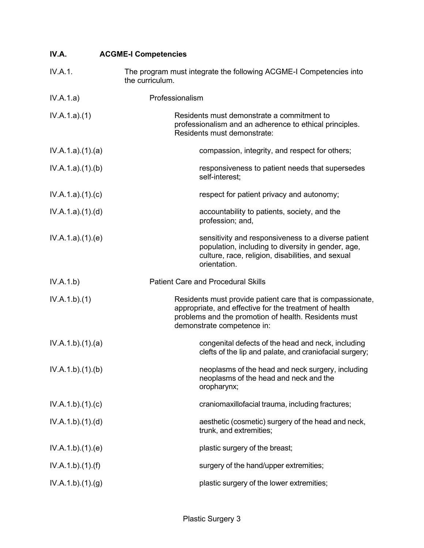| IV.A.           | <b>ACGME-I Competencies</b>                                                                                                                                                                                |
|-----------------|------------------------------------------------------------------------------------------------------------------------------------------------------------------------------------------------------------|
| IV.A.1.         | The program must integrate the following ACGME-I Competencies into<br>the curriculum.                                                                                                                      |
| IV.A.1.a)       | Professionalism                                                                                                                                                                                            |
| IV.A.1.a)(1)    | Residents must demonstrate a commitment to<br>professionalism and an adherence to ethical principles.<br>Residents must demonstrate:                                                                       |
| IV.A.1.a)(1)(a) | compassion, integrity, and respect for others;                                                                                                                                                             |
| IV.A.1.a)(1)(b) | responsiveness to patient needs that supersedes<br>self-interest;                                                                                                                                          |
| IV.A.1.a)(1)(c) | respect for patient privacy and autonomy;                                                                                                                                                                  |
| IV.A.1.a)(1)(d) | accountability to patients, society, and the<br>profession; and,                                                                                                                                           |
| IV.A.1.a)(1)(e) | sensitivity and responsiveness to a diverse patient<br>population, including to diversity in gender, age,<br>culture, race, religion, disabilities, and sexual<br>orientation.                             |
| IV.A.1.b)       | <b>Patient Care and Procedural Skills</b>                                                                                                                                                                  |
| IV.A.1.b)(1)    | Residents must provide patient care that is compassionate,<br>appropriate, and effective for the treatment of health<br>problems and the promotion of health. Residents must<br>demonstrate competence in: |
| IV.A.1.b)(1)(a) | congenital defects of the head and neck, including<br>clefts of the lip and palate, and craniofacial surgery;                                                                                              |
| IV.A.1.b)(1)(b) | neoplasms of the head and neck surgery, including<br>neoplasms of the head and neck and the<br>oropharynx;                                                                                                 |
| IV.A.1.b)(1)(c) | craniomaxillofacial trauma, including fractures;                                                                                                                                                           |
| IV.A.1.b)(1)(d) | aesthetic (cosmetic) surgery of the head and neck,<br>trunk, and extremities;                                                                                                                              |
| IV.A.1.b)(1)(e) | plastic surgery of the breast;                                                                                                                                                                             |
| IV.A.1.b)(1)(f) | surgery of the hand/upper extremities;                                                                                                                                                                     |
| IV.A.1.b)(1)(g) | plastic surgery of the lower extremities;                                                                                                                                                                  |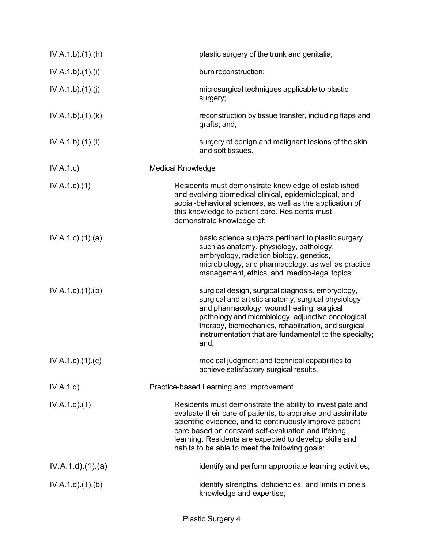| IV.A.1.b)(1)(h)         | plastic surgery of the trunk and genitalia;                                                                                                                                                                                                                                                                                                             |
|-------------------------|---------------------------------------------------------------------------------------------------------------------------------------------------------------------------------------------------------------------------------------------------------------------------------------------------------------------------------------------------------|
| IV.A.1.b)(1)(i)         | burn reconstruction;                                                                                                                                                                                                                                                                                                                                    |
| IV.A.1.b)(1)(j)         | microsurgical techniques applicable to plastic<br>surgery;                                                                                                                                                                                                                                                                                              |
| IV.A.1.b)(1)(k)         | reconstruction by tissue transfer, including flaps and<br>grafts; and,                                                                                                                                                                                                                                                                                  |
| IV.A.1.b)(1)(I)         | surgery of benign and malignant lesions of the skin<br>and soft tissues.                                                                                                                                                                                                                                                                                |
| IV.A.1.c)               | <b>Medical Knowledge</b>                                                                                                                                                                                                                                                                                                                                |
| $IV.A.1.c.$ (1)         | Residents must demonstrate knowledge of established<br>and evolving biomedical clinical, epidemiological, and<br>social-behavioral sciences, as well as the application of<br>this knowledge to patient care. Residents must<br>demonstrate knowledge of:                                                                                               |
| IV.A.1.c.1(1).(a)       | basic science subjects pertinent to plastic surgery,<br>such as anatomy, physiology, pathology,<br>embryology, radiation biology, genetics,<br>microbiology, and pharmacology, as well as practice<br>management, ethics, and medico-legal topics;                                                                                                      |
| $IV.A.1.c$ . $(1).$ (b) | surgical design, surgical diagnosis, embryology,<br>surgical and artistic anatomy, surgical physiology<br>and pharmacology, wound healing, surgical<br>pathology and microbiology, adjunctive oncological<br>therapy, biomechanics, rehabilitation, and surgical<br>instrumentation that are fundamental to the specialty;<br>and,                      |
| IV.A.1.c)(1)(c)         | medical judgment and technical capabilities to<br>achieve satisfactory surgical results.                                                                                                                                                                                                                                                                |
| IV.A.1.d)               | Practice-based Learning and Improvement                                                                                                                                                                                                                                                                                                                 |
| IV.A.1.d)(1)            | Residents must demonstrate the ability to investigate and<br>evaluate their care of patients, to appraise and assimilate<br>scientific evidence, and to continuously improve patient<br>care based on constant self-evaluation and lifelong<br>learning. Residents are expected to develop skills and<br>habits to be able to meet the following goals: |
| IV.A.1.d)(1)(a)         | identify and perform appropriate learning activities;                                                                                                                                                                                                                                                                                                   |
| IV.A.1.d.(1)(b)         | identify strengths, deficiencies, and limits in one's<br>knowledge and expertise;                                                                                                                                                                                                                                                                       |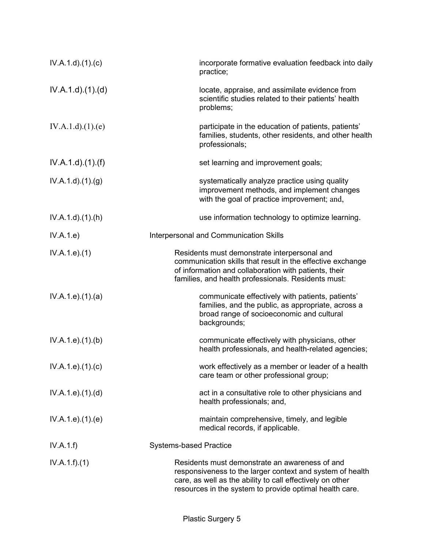| IV.A.1.d)(1)(c)              | incorporate formative evaluation feedback into daily<br>practice;                                                                                                                                                                   |
|------------------------------|-------------------------------------------------------------------------------------------------------------------------------------------------------------------------------------------------------------------------------------|
| IV.A.1.d)(1)(d)              | locate, appraise, and assimilate evidence from<br>scientific studies related to their patients' health<br>problems;                                                                                                                 |
| IV.A.1.d)(1)(e)              | participate in the education of patients, patients'<br>families, students, other residents, and other health<br>professionals;                                                                                                      |
| $IV.A.1.d$ . $(1)$ . $(f)$   | set learning and improvement goals;                                                                                                                                                                                                 |
| IV.A.1.d.(1). <sub>(g)</sub> | systematically analyze practice using quality<br>improvement methods, and implement changes<br>with the goal of practice improvement; and,                                                                                          |
| $IV.A.1.d$ . $(1).(h)$       | use information technology to optimize learning.                                                                                                                                                                                    |
| IV.A.1.e)                    | Interpersonal and Communication Skills                                                                                                                                                                                              |
| IV.A.1.e. (1)                | Residents must demonstrate interpersonal and<br>communication skills that result in the effective exchange<br>of information and collaboration with patients, their<br>families, and health professionals. Residents must:          |
| IV.A.1.e. (1). (a)           | communicate effectively with patients, patients'<br>families, and the public, as appropriate, across a<br>broad range of socioeconomic and cultural<br>backgrounds;                                                                 |
| IV.A.1.e. (1)(b)             | communicate effectively with physicians, other<br>health professionals, and health-related agencies;                                                                                                                                |
| $IV.A.1.e$ ). $(1).$ (c)     | work effectively as a member or leader of a health<br>care team or other professional group;                                                                                                                                        |
| IV.A.1.e. (1). (d)           | act in a consultative role to other physicians and<br>health professionals; and,                                                                                                                                                    |
| IV.A.1.e. (1). (e)           | maintain comprehensive, timely, and legible<br>medical records, if applicable.                                                                                                                                                      |
| IV.A.1.f)                    | <b>Systems-based Practice</b>                                                                                                                                                                                                       |
| IV.A.1.f)(1)                 | Residents must demonstrate an awareness of and<br>responsiveness to the larger context and system of health<br>care, as well as the ability to call effectively on other<br>resources in the system to provide optimal health care. |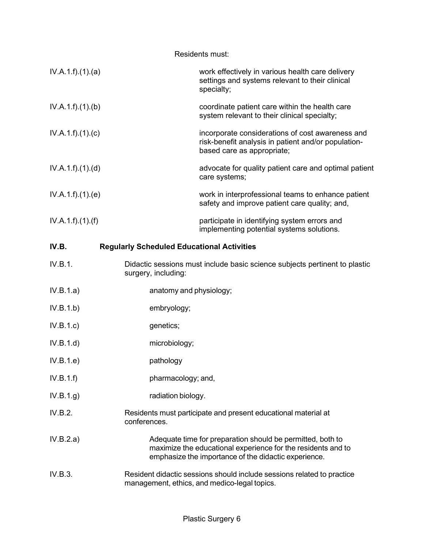| Residents must:                                            |                         |                                                                                                                                                                                    |  |  |
|------------------------------------------------------------|-------------------------|------------------------------------------------------------------------------------------------------------------------------------------------------------------------------------|--|--|
| IV.A.1.f)(1)(a)                                            |                         | work effectively in various health care delivery<br>settings and systems relevant to their clinical<br>specialty;                                                                  |  |  |
| IV.A.1.f)(1)(b)                                            |                         | coordinate patient care within the health care<br>system relevant to their clinical specialty;                                                                                     |  |  |
| IV.A.1.f)(1)(c)                                            |                         | incorporate considerations of cost awareness and<br>risk-benefit analysis in patient and/or population-<br>based care as appropriate;                                              |  |  |
| IV.A.1.f)(1)(d)                                            |                         | advocate for quality patient care and optimal patient<br>care systems;                                                                                                             |  |  |
| IV.A.1.f)(1)(e)                                            |                         | work in interprofessional teams to enhance patient<br>safety and improve patient care quality; and,                                                                                |  |  |
| IV.A.1.f).(1).(f)                                          |                         | participate in identifying system errors and<br>implementing potential systems solutions.                                                                                          |  |  |
| IV.B.<br><b>Regularly Scheduled Educational Activities</b> |                         |                                                                                                                                                                                    |  |  |
| IV.B.1.                                                    | surgery, including:     | Didactic sessions must include basic science subjects pertinent to plastic                                                                                                         |  |  |
| IV.B.1.a)                                                  | anatomy and physiology; |                                                                                                                                                                                    |  |  |
| IV.B.1.b)                                                  | embryology;             |                                                                                                                                                                                    |  |  |
| IV.B.1.c)                                                  | genetics;               |                                                                                                                                                                                    |  |  |
| IV.B.1.d)                                                  | microbiology;           |                                                                                                                                                                                    |  |  |
| IV.B.1.e)                                                  | pathology               |                                                                                                                                                                                    |  |  |
| IV.B.1.f)                                                  | pharmacology; and,      |                                                                                                                                                                                    |  |  |
| IV.B.1.g)                                                  | radiation biology.      |                                                                                                                                                                                    |  |  |
| IV.B.2.                                                    | conferences.            | Residents must participate and present educational material at                                                                                                                     |  |  |
| IV.B.2.a)                                                  |                         | Adequate time for preparation should be permitted, both to<br>maximize the educational experience for the residents and to<br>emphasize the importance of the didactic experience. |  |  |
| IV.B.3.                                                    |                         | Resident didactic sessions should include sessions related to practice<br>management, ethics, and medico-legal topics.                                                             |  |  |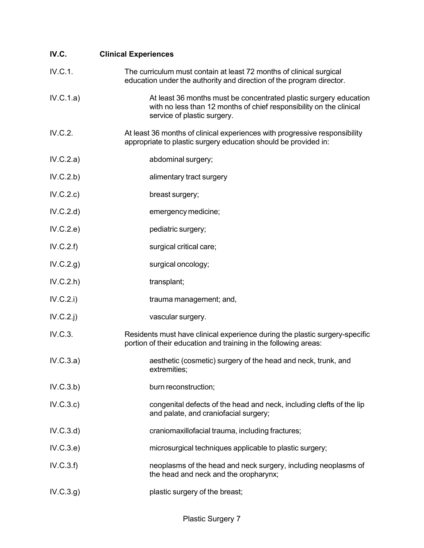| IV.C.       | <b>Clinical Experiences</b>                                                                                                                                             |
|-------------|-------------------------------------------------------------------------------------------------------------------------------------------------------------------------|
| IV.C.1.     | The curriculum must contain at least 72 months of clinical surgical<br>education under the authority and direction of the program director.                             |
| IV.C.1.a)   | At least 36 months must be concentrated plastic surgery education<br>with no less than 12 months of chief responsibility on the clinical<br>service of plastic surgery. |
| IV.C.2.     | At least 36 months of clinical experiences with progressive responsibility<br>appropriate to plastic surgery education should be provided in:                           |
| IV.C.2.a)   | abdominal surgery;                                                                                                                                                      |
| IV.C.2.b)   | alimentary tract surgery                                                                                                                                                |
| IV.C.2.c)   | breast surgery;                                                                                                                                                         |
| IV.C.2.d)   | emergency medicine;                                                                                                                                                     |
| IV.C.2.e)   | pediatric surgery;                                                                                                                                                      |
| IV.C.2.f)   | surgical critical care;                                                                                                                                                 |
| IV.C.2.g)   | surgical oncology;                                                                                                                                                      |
| IV.C.2.h    | transplant;                                                                                                                                                             |
| IV.C.2.i)   | trauma management; and,                                                                                                                                                 |
| $IV.C.2.$ j | vascular surgery.                                                                                                                                                       |
| IV.C.3.     | Residents must have clinical experience during the plastic surgery-specific<br>portion of their education and training in the following areas:                          |
| IV.C.3.a)   | aesthetic (cosmetic) surgery of the head and neck, trunk, and<br>extremities;                                                                                           |
| IV.C.3.b)   | burn reconstruction;                                                                                                                                                    |
| IV.C.3.c)   | congenital defects of the head and neck, including clefts of the lip<br>and palate, and craniofacial surgery;                                                           |
| IV.C.3.d)   | craniomaxillofacial trauma, including fractures;                                                                                                                        |
| IV.C.3.e)   | microsurgical techniques applicable to plastic surgery;                                                                                                                 |
| IV.C.3.f)   | neoplasms of the head and neck surgery, including neoplasms of<br>the head and neck and the oropharynx;                                                                 |
| IV.C.3.g)   | plastic surgery of the breast;                                                                                                                                          |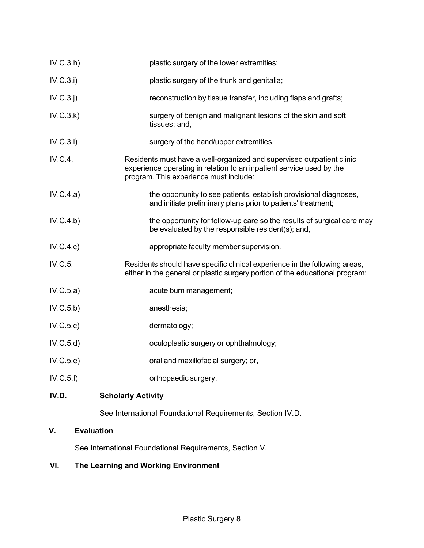| IV.D.     | <b>Scholarly Activity</b>                                                                                                                                                               |
|-----------|-----------------------------------------------------------------------------------------------------------------------------------------------------------------------------------------|
| IV.C.5.f) | orthopaedic surgery.                                                                                                                                                                    |
| IV.C.5.e) | oral and maxillofacial surgery; or,                                                                                                                                                     |
| IV.C.5.d  | oculoplastic surgery or ophthalmology;                                                                                                                                                  |
| IV.C.5.c) | dermatology;                                                                                                                                                                            |
| IV.C.5.b) | anesthesia;                                                                                                                                                                             |
| IV.C.5.a) | acute burn management;                                                                                                                                                                  |
| IV.C.5.   | Residents should have specific clinical experience in the following areas,<br>either in the general or plastic surgery portion of the educational program:                              |
| IV.C.4.c) | appropriate faculty member supervision.                                                                                                                                                 |
| IV.C.4.b) | the opportunity for follow-up care so the results of surgical care may<br>be evaluated by the responsible resident(s); and,                                                             |
| IV.C.4.a) | the opportunity to see patients, establish provisional diagnoses,<br>and initiate preliminary plans prior to patients' treatment;                                                       |
| IV.C.4.   | Residents must have a well-organized and supervised outpatient clinic<br>experience operating in relation to an inpatient service used by the<br>program. This experience must include: |
| IV.C.3.1) | surgery of the hand/upper extremities.                                                                                                                                                  |
| IV.C.3.k) | surgery of benign and malignant lesions of the skin and soft<br>tissues; and,                                                                                                           |
| IV.C.3.j) | reconstruction by tissue transfer, including flaps and grafts;                                                                                                                          |
| IV.C.3.i) | plastic surgery of the trunk and genitalia;                                                                                                                                             |
| IV.C.3.h  | plastic surgery of the lower extremities;                                                                                                                                               |

See International Foundational Requirements, Section IV.D.

# **V. Evaluation**

See International Foundational Requirements, Section V.

# **VI. The Learning and Working Environment**